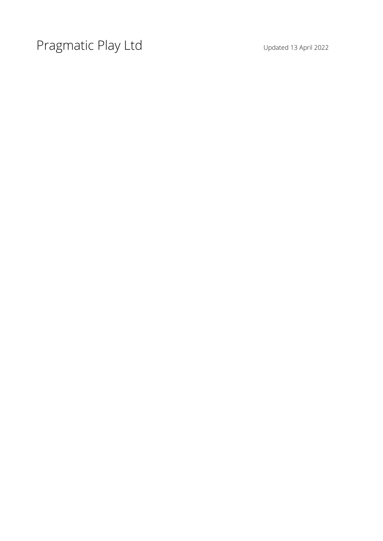Pragmatic Play Ltd Updated 13 April 2022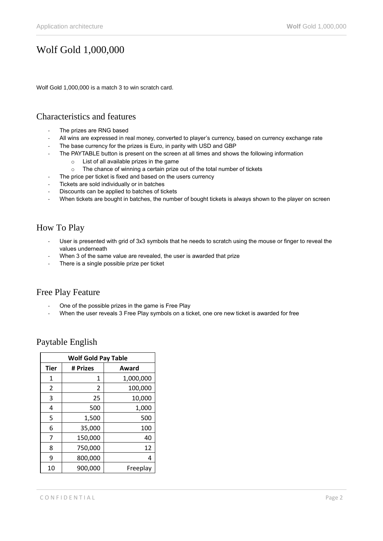# Wolf Gold 1,000,000

Wolf Gold 1,000,000 is a match 3 to win scratch card.

## Characteristics and features

- The prizes are RNG based
- All wins are expressed in real money, converted to player's currency, based on currency exchange rate
- The base currency for the prizes is Euro, in parity with USD and GBP
- The PAYTABLE button is present on the screen at all times and shows the following information
	- o List of all available prizes in the game
	- o The chance of winning a certain prize out of the total number of tickets
	- The price per ticket is fixed and based on the users currency
- Tickets are sold individually or in batches
- Discounts can be applied to batches of tickets
- When tickets are bought in batches, the number of bought tickets is always shown to the player on screen

# How To Play

- User is presented with grid of 3x3 symbols that he needs to scratch using the mouse or finger to reveal the values underneath
- When 3 of the same value are revealed, the user is awarded that prize
- There is a single possible prize per ticket

#### Free Play Feature

- One of the possible prizes in the game is Free Play
- When the user reveals 3 Free Play symbols on a ticket, one ore new ticket is awarded for free

| <b>Wolf Gold Pay Table</b> |          |           |
|----------------------------|----------|-----------|
| <b>Tier</b>                | # Prizes | Award     |
| 1                          | 1        | 1,000,000 |
| 2                          | 2        | 100,000   |
| 3                          | 25       | 10,000    |
| 4                          | 500      | 1,000     |
| 5                          | 1,500    | 500       |
| 6                          | 35,000   | 100       |
| 7                          | 150,000  | 40        |
| 8                          | 750,000  | 12        |
| 9                          | 800,000  | 4         |
| 10                         | 900,000  | Freeplay  |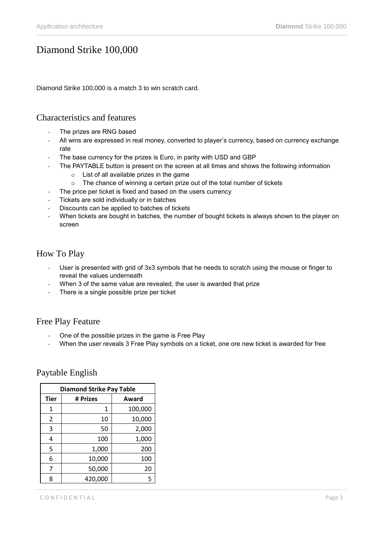# Diamond Strike 100,000

Diamond Strike 100,000 is a match 3 to win scratch card.

#### Characteristics and features

- The prizes are RNG based
- All wins are expressed in real money, converted to player's currency, based on currency exchange rate
- The base currency for the prizes is Euro, in parity with USD and GBP
	- The PAYTABLE button is present on the screen at all times and shows the following information
		- o List of all available prizes in the game
		- o The chance of winning a certain prize out of the total number of tickets
	- The price per ticket is fixed and based on the users currency
- Tickets are sold individually or in batches
- Discounts can be applied to batches of tickets
- When tickets are bought in batches, the number of bought tickets is always shown to the player on screen

#### How To Play

- User is presented with grid of 3x3 symbols that he needs to scratch using the mouse or finger to reveal the values underneath
- When 3 of the same value are revealed, the user is awarded that prize
- There is a single possible prize per ticket

#### Free Play Feature

- One of the possible prizes in the game is Free Play
- When the user reveals 3 Free Play symbols on a ticket, one ore new ticket is awarded for free

| <b>Diamond Strike Pay Table</b> |          |         |
|---------------------------------|----------|---------|
| <b>Tier</b>                     | # Prizes | Award   |
| 1                               | 1        | 100,000 |
| 2                               | 10       | 10,000  |
| 3                               | 50       | 2,000   |
| 4                               | 100      | 1,000   |
| 5                               | 1,000    | 200     |
| 6                               | 10,000   | 100     |
| 7                               | 50,000   | 20      |
| 8                               | 420,000  | 5       |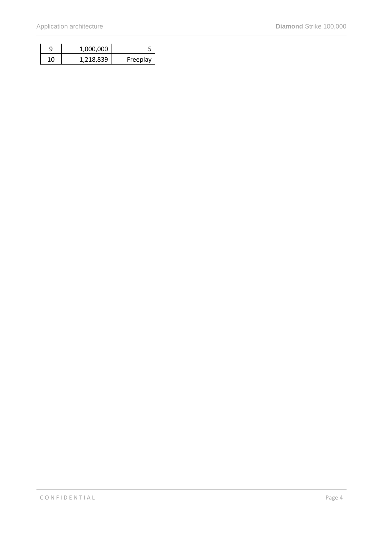|    | 1,000,000 |          |
|----|-----------|----------|
| 10 | 1,218,839 | Freeplay |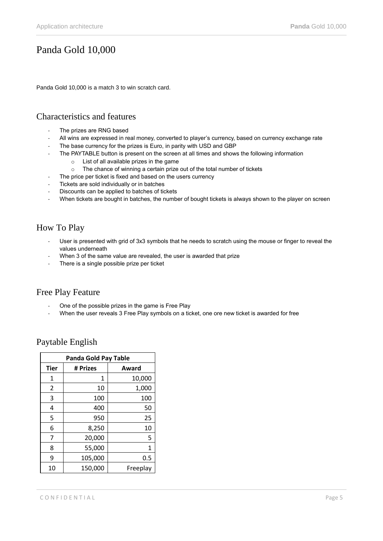# Panda Gold 10,000

Panda Gold 10,000 is a match 3 to win scratch card.

## Characteristics and features

- The prizes are RNG based
- All wins are expressed in real money, converted to player's currency, based on currency exchange rate
- The base currency for the prizes is Euro, in parity with USD and GBP
- The PAYTABLE button is present on the screen at all times and shows the following information
	- o List of all available prizes in the game
	- o The chance of winning a certain prize out of the total number of tickets
	- The price per ticket is fixed and based on the users currency
- Tickets are sold individually or in batches
- Discounts can be applied to batches of tickets
- When tickets are bought in batches, the number of bought tickets is always shown to the player on screen

# How To Play

- User is presented with grid of 3x3 symbols that he needs to scratch using the mouse or finger to reveal the values underneath
- When 3 of the same value are revealed, the user is awarded that prize
- There is a single possible prize per ticket

#### Free Play Feature

- One of the possible prizes in the game is Free Play
- When the user reveals 3 Free Play symbols on a ticket, one ore new ticket is awarded for free

| <b>Panda Gold Pay Table</b> |          |          |
|-----------------------------|----------|----------|
| <b>Tier</b>                 | # Prizes | Award    |
| 1                           | 1        | 10,000   |
| $\overline{2}$              | 10       | 1,000    |
| 3                           | 100      | 100      |
| 4                           | 400      | 50       |
| 5                           | 950      | 25       |
| 6                           | 8,250    | 10       |
| 7                           | 20,000   | 5        |
| 8                           | 55,000   | 1        |
| 9                           | 105,000  | 0.5      |
| 10                          | 150,000  | Freeplay |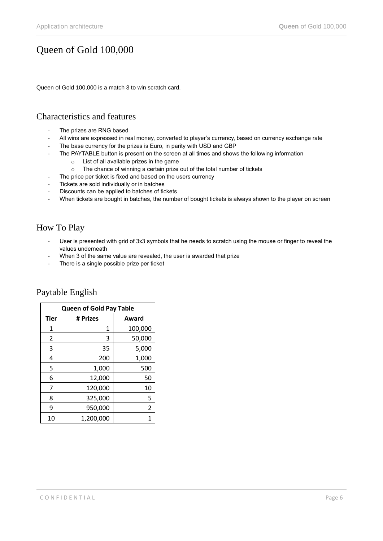# Queen of Gold 100,000

Queen of Gold 100,000 is a match 3 to win scratch card.

## Characteristics and features

- The prizes are RNG based
- All wins are expressed in real money, converted to player's currency, based on currency exchange rate
- The base currency for the prizes is Euro, in parity with USD and GBP
- The PAYTABLE button is present on the screen at all times and shows the following information
	- o List of all available prizes in the game
	- o The chance of winning a certain prize out of the total number of tickets
	- The price per ticket is fixed and based on the users currency
- Tickets are sold individually or in batches
- Discounts can be applied to batches of tickets
- When tickets are bought in batches, the number of bought tickets is always shown to the player on screen

# How To Play

- User is presented with grid of 3x3 symbols that he needs to scratch using the mouse or finger to reveal the values underneath
- When 3 of the same value are revealed, the user is awarded that prize
- There is a single possible prize per ticket

| <b>Queen of Gold Pay Table</b> |           |         |
|--------------------------------|-----------|---------|
| <b>Tier</b>                    | # Prizes  | Award   |
| 1                              | 1         | 100,000 |
| 2                              | 3         | 50,000  |
| 3                              | 35        | 5,000   |
| 4                              | 200       | 1,000   |
| 5                              | 1,000     | 500     |
| 6                              | 12,000    | 50      |
| 7                              | 120,000   | 10      |
| 8                              | 325,000   | 5       |
| 9                              | 950,000   | 2       |
| 10                             | 1,200,000 | 1       |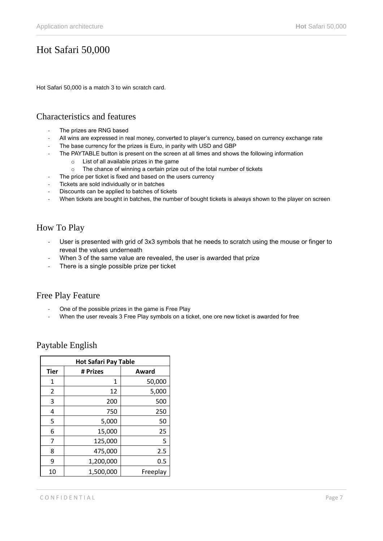# Hot Safari 50,000

Hot Safari 50,000 is a match 3 to win scratch card.

## Characteristics and features

- The prizes are RNG based
- All wins are expressed in real money, converted to player's currency, based on currency exchange rate
- The base currency for the prizes is Euro, in parity with USD and GBP
- The PAYTABLE button is present on the screen at all times and shows the following information
	- o List of all available prizes in the game
	- o The chance of winning a certain prize out of the total number of tickets
	- The price per ticket is fixed and based on the users currency
- Tickets are sold individually or in batches
- Discounts can be applied to batches of tickets
- When tickets are bought in batches, the number of bought tickets is always shown to the player on screen

# How To Play

- User is presented with grid of 3x3 symbols that he needs to scratch using the mouse or finger to reveal the values underneath
- When 3 of the same value are revealed, the user is awarded that prize
- There is a single possible prize per ticket

## Free Play Feature

- One of the possible prizes in the game is Free Play
- When the user reveals 3 Free Play symbols on a ticket, one ore new ticket is awarded for free

| <b>Hot Safari Pay Table</b> |           |          |
|-----------------------------|-----------|----------|
| <b>Tier</b>                 | # Prizes  | Award    |
| 1                           | 1         | 50,000   |
| 2                           | 12        | 5,000    |
| 3                           | 200       | 500      |
| 4                           | 750       | 250      |
| 5                           | 5,000     | 50       |
| 6                           | 15,000    | 25       |
| 7                           | 125,000   | 5        |
| 8                           | 475,000   | 2.5      |
| 9                           | 1,200,000 | 0.5      |
| 10                          | 1,500,000 | Freeplay |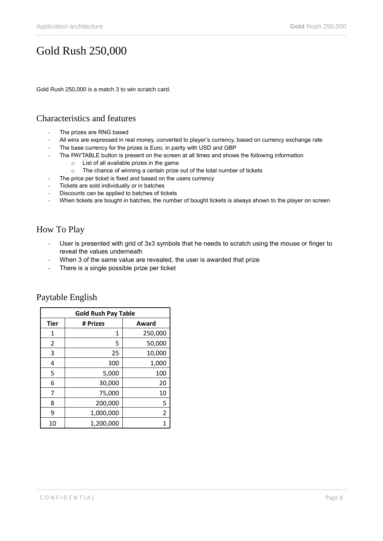# Gold Rush 250,000

Gold Rush 250,000 is a match 3 to win scratch card.

## Characteristics and features

- The prizes are RNG based
- All wins are expressed in real money, converted to player's currency, based on currency exchange rate
- The base currency for the prizes is Euro, in parity with USD and GBP
	- The PAYTABLE button is present on the screen at all times and shows the following information
		- o List of all available prizes in the game
		- o The chance of winning a certain prize out of the total number of tickets
	- The price per ticket is fixed and based on the users currency
- Tickets are sold individually or in batches
- Discounts can be applied to batches of tickets
- When tickets are bought in batches, the number of bought tickets is always shown to the player on screen

# How To Play

- User is presented with grid of 3x3 symbols that he needs to scratch using the mouse or finger to reveal the values underneath
- When 3 of the same value are revealed, the user is awarded that prize
- There is a single possible prize per ticket

| <b>Gold Rush Pay Table</b> |           |         |
|----------------------------|-----------|---------|
| <b>Tier</b>                | # Prizes  | Award   |
| 1                          | 1         | 250,000 |
| 2                          | 5         | 50,000  |
| 3                          | 25        | 10,000  |
| 4                          | 300       | 1,000   |
| 5                          | 5,000     | 100     |
| 6                          | 30,000    | 20      |
| 7                          | 75,000    | 10      |
| 8                          | 200,000   | 5       |
| 9                          | 1,000,000 | 2       |
| 10                         | 1,200,000 |         |